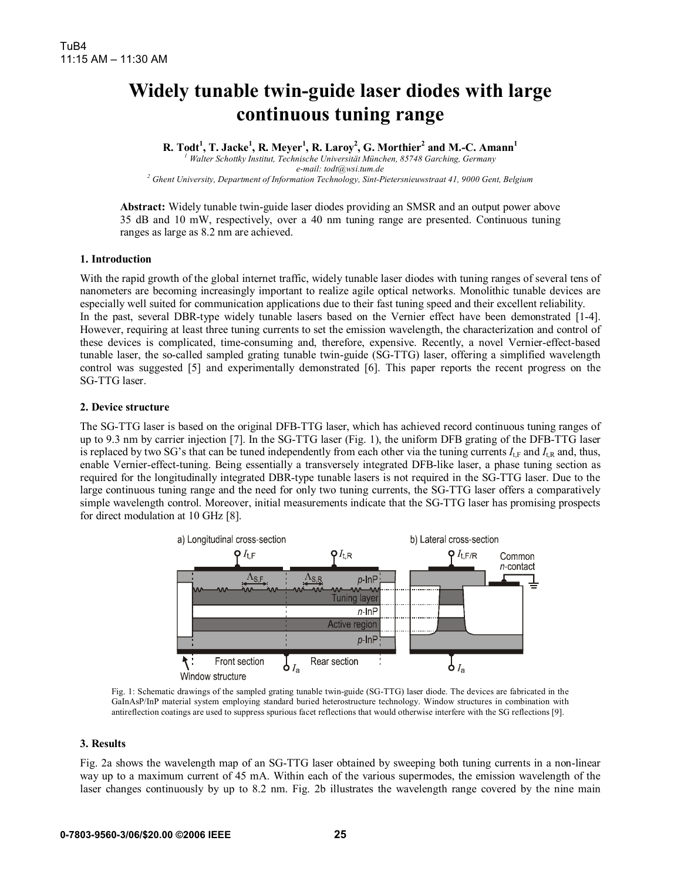# **Widely tunable twin-guide laser diodes with large continuous tuning range**

**R. Todt<sup>1</sup> , T. Jacke<sup>1</sup> , R. Meyer<sup>1</sup> , R. Laroy<sup>2</sup> , G. Morthier<sup>2</sup> and M.-C. Amann1** *1 Walter Schottky Institut, Technische Universität München, 85748 Garching, Germany* 

*e-mail: todt@wsi.tum.de 2 Ghent University, Department of Information Technology, Sint-Pietersnieuwstraat 41, 9000 Gent, Belgium* 

**Abstract:** Widely tunable twin-guide laser diodes providing an SMSR and an output power above 35 dB and 10 mW, respectively, over a 40 nm tuning range are presented. Continuous tuning ranges as large as 8.2 nm are achieved.

## **1. Introduction**

With the rapid growth of the global internet traffic, widely tunable laser diodes with tuning ranges of several tens of nanometers are becoming increasingly important to realize agile optical networks. Monolithic tunable devices are especially well suited for communication applications due to their fast tuning speed and their excellent reliability. In the past, several DBR-type widely tunable lasers based on the Vernier effect have been demonstrated [1-4]. However, requiring at least three tuning currents to set the emission wavelength, the characterization and control of these devices is complicated, time-consuming and, therefore, expensive. Recently, a novel Vernier-effect-based tunable laser, the so-called sampled grating tunable twin-guide (SG-TTG) laser, offering a simplified wavelength control was suggested [5] and experimentally demonstrated [6]. This paper reports the recent progress on the SG-TTG laser.

### **2. Device structure**

The SG-TTG laser is based on the original DFB-TTG laser, which has achieved record continuous tuning ranges of up to 9.3 nm by carrier injection [7]. In the SG-TTG laser (Fig. 1), the uniform DFB grating of the DFB-TTG laser is replaced by two SG's that can be tuned independently from each other via the tuning currents  $I_{LF}$  and  $I_{LR}$  and, thus, enable Vernier-effect-tuning. Being essentially a transversely integrated DFB-like laser, a phase tuning section as required for the longitudinally integrated DBR-type tunable lasers is not required in the SG-TTG laser. Due to the large continuous tuning range and the need for only two tuning currents, the SG-TTG laser offers a comparatively simple wavelength control. Moreover, initial measurements indicate that the SG-TTG laser has promising prospects for direct modulation at 10 GHz [8].



Fig. 1: Schematic drawings of the sampled grating tunable twin-guide (SG-TTG) laser diode. The devices are fabricated in the GaInAsP/InP material system employing standard buried heterostructure technology. Window structures in combination with antireflection coatings are used to suppress spurious facet reflections that would otherwise interfere with the SG reflections [9].

#### **3. Results**

Fig. 2a shows the wavelength map of an SG-TTG laser obtained by sweeping both tuning currents in a non-linear way up to a maximum current of 45 mA. Within each of the various supermodes, the emission wavelength of the laser changes continuously by up to 8.2 nm. Fig. 2b illustrates the wavelength range covered by the nine main